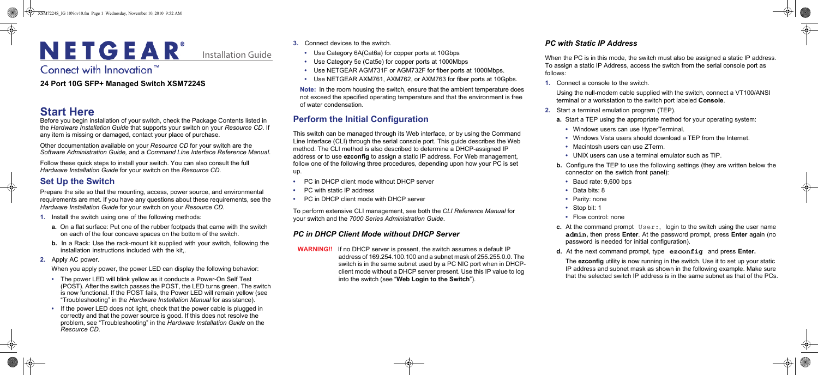# NETGEAR®

Installation Guide

## Connect with Innovation"

- **3.** Connect devices to the switch.
	- Use Category 6A(Cat6a) for copper ports at 10Gbps
	- Use Category 5e (Cat5e) for copper ports at 1000Mbps
	- Use NETGEAR AGM731F or AGM732F for fiber ports at 1000Mbps.
	- Use NETGEAR AXM761, AXM762, or AXM763 for fiber ports at 10Gpbs.

**Note:** In the room housing the switch, ensure that the ambient temperature does not exceed the specified operating temperature and that the environment is free of water condensation.

## **Perform the Initial Configuration**

This switch can be managed through its Web interface, or by using the Command Line Interface (CLI) through the serial console port. This guide describes the Web method. The CLI method is also described to determine a DHCP-assigned IP address or to use **ezconfig** to assign a static IP address. For Web management, follow one of the following three procedures, depending upon how your PC is set up.

- PC in DHCP client mode without DHCP server
- PC with static IP address
- PC in DHCP client mode with DHCP server

To perform extensive CLI management, see both the *CLI Reference Manual* for your switch and the *7000 Series Administration Guide*.

**b.** Configure the TEP to use the following settings (they are written below the connector on the switch front panel):

#### *PC in DHCP Client Mode without DHCP Server*

**c.** At the command prompt  $User$ ; login to the switch using the user name **admin,** then press **Enter**. At the password prompt, press **Enter** again (no password is needed for initial configuration).

**WARNING!!** If no DHCP server is present, the switch assumes a default IP address of 169.254.100.100 and a subnet mask of 255.255.0.0. The switch is in the same subnet used by a PC NIC port when in DHCPclient mode without a DHCP server present. Use this IP value to log into the switch (see "**Web Login to the Switch**").

#### <span id="page-0-0"></span>*PC with Static IP Address*

When the PC is in this mode, the switch must also be assigned a static IP address. To assign a static IP Address, access the switch from the serial console port as

follows:

**1.** Connect a console to the switch.

Using the null-modem cable supplied with the switch, connect a VT100/ANSI terminal or a workstation to the switch port labeled **Console**.

**2.** Start a terminal emulation program (TEP).

**a.** Start a TEP using the appropriate method for your operating system:

- Windows users can use HyperTerminal.
- Windows Vista users should download a TEP from the Internet.
- Macintosh users can use ZTerm.
- UNIX users can use a terminal emulator such as TIP.

- Baud rate: 9,600 bps
- Data bits: 8
- Parity: none
- Stop bit: 1
- Flow control: none

**d.** At the next command prompt, type **ezconfig** and press **Enter.**

The **ezconfig** utility is now running in the switch. Use it to set up your static IP address and subnet mask as shown in the following example. Make sure that the selected switch IP address is in the same subnet as that of the PCs.

#### **24 Port 10G SFP+ Managed Switch XSM7224S**

## **Start Here**

Before you begin installation of your switch, check the Package Contents listed in the *Hardware Installation Guide* that supports your switch on your *Resource CD.* If any item is missing or damaged, contact your place of purchase.

Other documentation available on your *Resource CD* for your switch are the *Software Administration Guide,* and a *Command Line Interface Reference Manual*.

Follow these quick steps to install your switch. You can also consult the full *Hardware Installation Guide* for your switch on the *Resource CD*.

## **Set Up the Switch**

Prepare the site so that the mounting, access, power source, and environmental requirements are met. If you have any questions about these requirements, see the *Hardware Installation Guide* for your switch on your *Resource CD.*

- **1.** Install the switch using one of the following methods:
	- **a.** On a flat surface: Put one of the rubber footpads that came with the switch on each of the four concave spaces on the bottom of the switch.
	- **b.** In a Rack: Use the rack-mount kit supplied with your switch, following the installation instructions included with the kit,.
- **2.** Apply AC power.

When you apply power, the power LED can display the following behavior:

- The power LED will blink yellow as it conducts a Power-On Self Test (POST). After the switch passes the POST, the LED turns green. The switch is now functional. If the POST fails, the Power LED will remain yellow (see "Troubleshooting" in the *Hardware Installation Manual* for assistance).
- If the power LED does not light, check that the power cable is plugged in correctly and that the power source is good. If this does not resolve the problem, see "Troubleshooting" in the *Hardware Installation Guide* on the *Resource CD*.